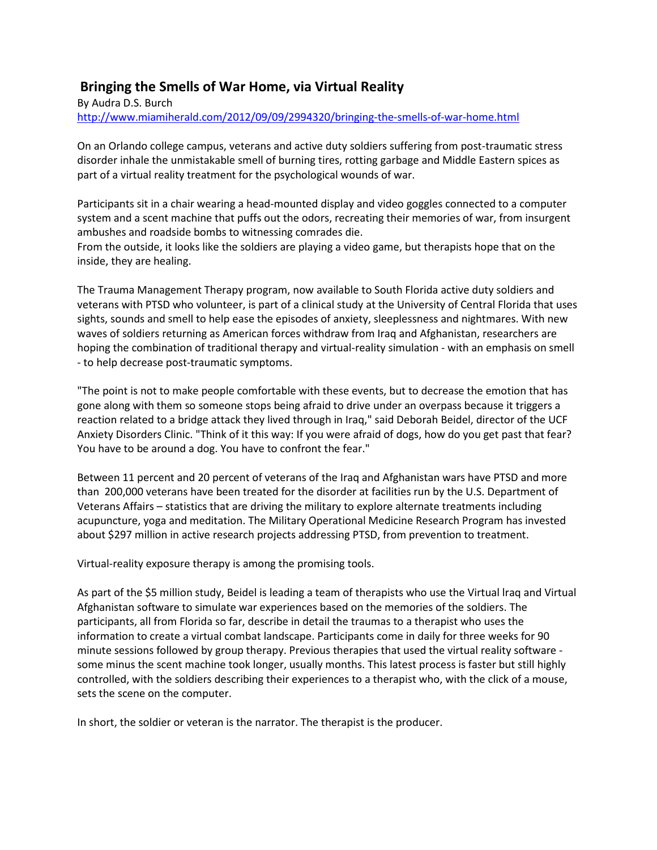## **Bringing the Smells of War Home, via Virtual Reality**

By Audra D.S. Burch <http://www.miamiherald.com/2012/09/09/2994320/bringing-the-smells-of-war-home.html>

On an Orlando college campus, veterans and active duty soldiers suffering from post-traumatic stress disorder inhale the unmistakable smell of burning tires, rotting garbage and Middle Eastern spices as part of a virtual reality treatment for the psychological wounds of war.

Participants sit in a chair wearing a head-mounted display and video goggles connected to a computer system and a scent machine that puffs out the odors, recreating their memories of war, from insurgent ambushes and roadside bombs to witnessing comrades die.

From the outside, it looks like the soldiers are playing a video game, but therapists hope that on the inside, they are healing.

The Trauma Management Therapy program, now available to South Florida active duty soldiers and veterans with PTSD who volunteer, is part of a clinical study at the University of Central Florida that uses sights, sounds and smell to help ease the episodes of anxiety, sleeplessness and nightmares. With new waves of soldiers returning as American forces withdraw from Iraq and Afghanistan, researchers are hoping the combination of traditional therapy and virtual-reality simulation - with an emphasis on smell - to help decrease post-traumatic symptoms.

"The point is not to make people comfortable with these events, but to decrease the emotion that has gone along with them so someone stops being afraid to drive under an overpass because it triggers a reaction related to a bridge attack they lived through in Iraq," said Deborah Beidel, director of the UCF Anxiety Disorders Clinic. "Think of it this way: If you were afraid of dogs, how do you get past that fear? You have to be around a dog. You have to confront the fear."

Between 11 percent and 20 percent of veterans of the Iraq and Afghanistan wars have PTSD and more than 200,000 veterans have been treated for the disorder at facilities run by the U.S. Department of Veterans Affairs – statistics that are driving the military to explore alternate treatments including acupuncture, yoga and meditation. The Military Operational Medicine Research Program has invested about \$297 million in active research projects addressing PTSD, from prevention to treatment.

Virtual-reality exposure therapy is among the promising tools.

As part of the \$5 million study, Beidel is leading a team of therapists who use the Virtual lraq and Virtual Afghanistan software to simulate war experiences based on the memories of the soldiers. The participants, all from Florida so far, describe in detail the traumas to a therapist who uses the information to create a virtual combat landscape. Participants come in daily for three weeks for 90 minute sessions followed by group therapy. Previous therapies that used the virtual reality software some minus the scent machine took longer, usually months. This latest process is faster but still highly controlled, with the soldiers describing their experiences to a therapist who, with the click of a mouse, sets the scene on the computer.

In short, the soldier or veteran is the narrator. The therapist is the producer.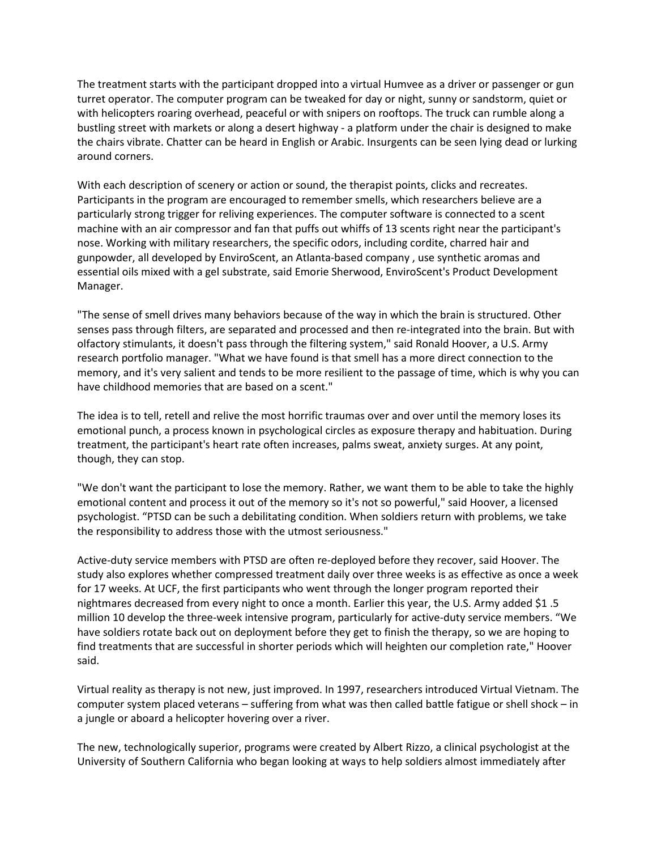The treatment starts with the participant dropped into a virtual Humvee as a driver or passenger or gun turret operator. The computer program can be tweaked for day or night, sunny or sandstorm, quiet or with helicopters roaring overhead, peaceful or with snipers on rooftops. The truck can rumble along a bustling street with markets or along a desert highway - a platform under the chair is designed to make the chairs vibrate. Chatter can be heard in English or Arabic. Insurgents can be seen lying dead or lurking around corners.

With each description of scenery or action or sound, the therapist points, clicks and recreates. Participants in the program are encouraged to remember smells, which researchers believe are a particularly strong trigger for reliving experiences. The computer software is connected to a scent machine with an air compressor and fan that puffs out whiffs of 13 scents right near the participant's nose. Working with military researchers, the specific odors, including cordite, charred hair and gunpowder, all developed by EnviroScent, an Atlanta-based company , use synthetic aromas and essential oils mixed with a gel substrate, said Emorie Sherwood, EnviroScent's Product Development Manager.

"The sense of smell drives many behaviors because of the way in which the brain is structured. Other senses pass through filters, are separated and processed and then re-integrated into the brain. But with olfactory stimulants, it doesn't pass through the filtering system," said Ronald Hoover, a U.S. Army research portfolio manager. "What we have found is that smell has a more direct connection to the memory, and it's very salient and tends to be more resilient to the passage of time, which is why you can have childhood memories that are based on a scent."

The idea is to tell, retell and relive the most horrific traumas over and over until the memory loses its emotional punch, a process known in psychological circles as exposure therapy and habituation. During treatment, the participant's heart rate often increases, palms sweat, anxiety surges. At any point, though, they can stop.

"We don't want the participant to lose the memory. Rather, we want them to be able to take the highly emotional content and process it out of the memory so it's not so powerful," said Hoover, a licensed psychologist. "PTSD can be such a debilitating condition. When soldiers return with problems, we take the responsibility to address those with the utmost seriousness."

Active-duty service members with PTSD are often re-deployed before they recover, said Hoover. The study also explores whether compressed treatment daily over three weeks is as effective as once a week for 17 weeks. At UCF, the first participants who went through the longer program reported their nightmares decreased from every night to once a month. Earlier this year, the U.S. Army added \$1 .5 million 10 develop the three-week intensive program, particularly for active-duty service members. "We have soldiers rotate back out on deployment before they get to finish the therapy, so we are hoping to find treatments that are successful in shorter periods which will heighten our completion rate," Hoover said.

Virtual reality as therapy is not new, just improved. In 1997, researchers introduced Virtual Vietnam. The computer system placed veterans – suffering from what was then called battle fatigue or shell shock – in a jungle or aboard a helicopter hovering over a river.

The new, technologically superior, programs were created by Albert Rizzo, a clinical psychologist at the University of Southern California who began looking at ways to help soldiers almost immediately after